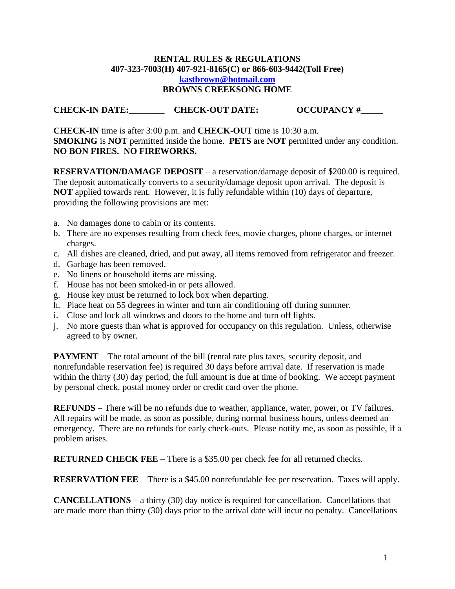## **RENTAL RULES & REGULATIONS 407-323-7003(H) 407-921-8165(C) or 866-603-9442(Toll Free) [kastbrown@hotmail.com](mailto:kastbrown@hotmail.com) BROWNS CREEKSONG HOME**

## **CHECK-IN DATE:\_\_\_\_\_\_\_\_\_\_\_\_\_\_\_\_\_\_\_\_\_\_\_\_\_\_\_CHECK-OUT DATE:\_\_\_\_\_\_\_\_\_\_\_\_\_\_\_\_\_\_\_\_\_\_\_\_\_**

**CHECK-IN** time is after 3:00 p.m. and **CHECK-OUT** time is 10:30 a.m. **SMOKING** is **NOT** permitted inside the home. **PETS** are **NOT** permitted under any condition. **NO BON FIRES. NO FIREWORKS.**

**RESERVATION/DAMAGE DEPOSIT** – a reservation/damage deposit of \$200.00 is required. The deposit automatically converts to a security/damage deposit upon arrival. The deposit is **NOT** applied towards rent. However, it is fully refundable within (10) days of departure, providing the following provisions are met:

- a. No damages done to cabin or its contents.
- b. There are no expenses resulting from check fees, movie charges, phone charges, or internet charges.
- c. All dishes are cleaned, dried, and put away, all items removed from refrigerator and freezer.
- d. Garbage has been removed.
- e. No linens or household items are missing.
- f. House has not been smoked-in or pets allowed.
- g. House key must be returned to lock box when departing.
- h. Place heat on 55 degrees in winter and turn air conditioning off during summer.
- i. Close and lock all windows and doors to the home and turn off lights.
- j. No more guests than what is approved for occupancy on this regulation. Unless, otherwise agreed to by owner.

**PAYMENT** – The total amount of the bill (rental rate plus taxes, security deposit, and nonrefundable reservation fee) is required 30 days before arrival date. If reservation is made within the thirty (30) day period, the full amount is due at time of booking. We accept payment by personal check, postal money order or credit card over the phone.

**REFUNDS** – There will be no refunds due to weather, appliance, water, power, or TV failures. All repairs will be made, as soon as possible, during normal business hours, unless deemed an emergency. There are no refunds for early check-outs. Please notify me, as soon as possible, if a problem arises.

**RETURNED CHECK FEE** – There is a \$35.00 per check fee for all returned checks.

**RESERVATION FEE** – There is a \$45.00 nonrefundable fee per reservation. Taxes will apply.

**CANCELLATIONS** – a thirty (30) day notice is required for cancellation. Cancellations that are made more than thirty (30) days prior to the arrival date will incur no penalty. Cancellations